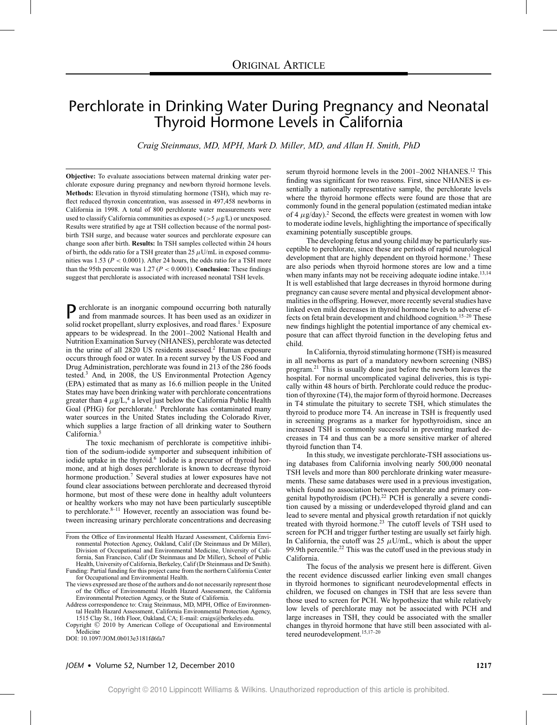# Perchlorate in Drinking Water During Pregnancy and Neonatal Thyroid Hormone Levels in California

*Craig Steinmaus, MD, MPH, Mark D. Miller, MD, and Allan H. Smith, PhD*

**Objective:** To evaluate associations between maternal drinking water perchlorate exposure during pregnancy and newborn thyroid hormone levels. **Methods:** Elevation in thyroid stimulating hormone (TSH), which may reflect reduced thyroxin concentration, was assessed in 497,458 newborns in California in 1998. A total of 800 perchlorate water measurements were used to classify California communities as exposed ( $>$ 5  $\mu$ g/L) or unexposed. Results were stratified by age at TSH collection because of the normal postbirth TSH surge, and because water sources and perchlorate exposure can change soon after birth. **Results:** In TSH samples collected within 24 hours of birth, the odds ratio for a TSH greater than 25  $\mu$ U/mL in exposed communities was  $1.53$  ( $P < 0.0001$ ). After 24 hours, the odds ratio for a TSH more than the 95th percentile was 1.27 (*P* < 0.0001). **Conclusion:** These findings suggest that perchlorate is associated with increased neonatal TSH levels.

erchlorate is an inorganic compound occurring both naturally and from manmade sources. It has been used as an oxidizer in solid rocket propellant, slurry explosives, and road flares.<sup>1</sup> Exposure appears to be widespread. In the 2001–2002 National Health and Nutrition Examination Survey (NHANES), perchlorate was detected in the urine of all 2820 US residents assessed.2 Human exposure occurs through food or water. In a recent survey by the US Food and Drug Administration, perchlorate was found in 213 of the 286 foods tested.<sup>3</sup> And, in 2008, the US Environmental Protection Agency (EPA) estimated that as many as 16.6 million people in the United States may have been drinking water with perchlorate concentrations greater than 4  $\mu$ g/L,<sup>4</sup> a level just below the California Public Health Goal (PHG) for perchlorate.<sup>1</sup> Perchlorate has contaminated many water sources in the United States including the Colorado River, which supplies a large fraction of all drinking water to Southern California.<sup>5</sup>

The toxic mechanism of perchlorate is competitive inhibition of the sodium-iodide symporter and subsequent inhibition of iodide uptake in the thyroid.<sup>6</sup> Iodide is a precursor of thyroid hormone, and at high doses perchlorate is known to decrease thyroid hormone production.<sup>7</sup> Several studies at lower exposures have not found clear associations between perchlorate and decreased thyroid hormone, but most of these were done in healthy adult volunteers or healthy workers who may not have been particularly susceptible to perchlorate.<sup>8-11</sup> However, recently an association was found between increasing urinary perchlorate concentrations and decreasing

for Occupational and Environmental Health. The views expressed are those of the authors and do not necessarily represent those

serum thyroid hormone levels in the 2001–2002 NHANES.<sup>12</sup> This finding was significant for two reasons. First, since NHANES is essentially a nationally representative sample, the perchlorate levels where the thyroid hormone effects were found are those that are commonly found in the general population (estimated median intake of 4  $\mu$ g/day).<sup>2</sup> Second, the effects were greatest in women with low to moderate iodine levels, highlighting the importance of specifically examining potentially susceptible groups.

The developing fetus and young child may be particularly susceptible to perchlorate, since these are periods of rapid neurological development that are highly dependent on thyroid hormone.<sup>1</sup> These are also periods when thyroid hormone stores are low and a time when many infants may not be receiving adequate iodine intake.<sup>13,14</sup> It is well established that large decreases in thyroid hormone during pregnancy can cause severe mental and physical development abnormalities in the offspring. However, more recently several studies have linked even mild decreases in thyroid hormone levels to adverse effects on fetal brain development and childhood cognition.<sup>15–20</sup> These new findings highlight the potential importance of any chemical exposure that can affect thyroid function in the developing fetus and child.

In California, thyroid stimulating hormone (TSH) is measured in all newborns as part of a mandatory newborn screening (NBS) program.21 This is usually done just before the newborn leaves the hospital. For normal uncomplicated vaginal deliveries, this is typically within 48 hours of birth. Perchlorate could reduce the production of thyroxine (T4), the major form of thyroid hormone. Decreases in T4 stimulate the pituitary to secrete TSH, which stimulates the thyroid to produce more T4. An increase in TSH is frequently used in screening programs as a marker for hypothyroidism, since an increased TSH is commonly successful in preventing marked decreases in T4 and thus can be a more sensitive marker of altered thyroid function than T4.

In this study, we investigate perchlorate-TSH associations using databases from California involving nearly 500,000 neonatal TSH levels and more than 800 perchlorate drinking water measurements. These same databases were used in a previous investigation, which found no association between perchlorate and primary congenital hypothyroidism (PCH).<sup>22</sup> PCH is generally a severe condition caused by a missing or underdeveloped thyroid gland and can lead to severe mental and physical growth retardation if not quickly treated with thyroid hormone.<sup>23</sup> The cutoff levels of TSH used to screen for PCH and trigger further testing are usually set fairly high. In California, the cutoff was 25  $\mu$ U/mL, which is about the upper 99.9th percentile.22 This was the cutoff used in the previous study in California.

The focus of the analysis we present here is different. Given the recent evidence discussed earlier linking even small changes in thyroid hormones to significant neurodevelopmental effects in children, we focused on changes in TSH that are less severe than those used to screen for PCH. We hypothesize that while relatively low levels of perchlorate may not be associated with PCH and large increases in TSH, they could be associated with the smaller changes in thyroid hormone that have still been associated with altered neurodevelopment.<sup>15,17-20</sup>

## *JOEM* - Volume 52, Number 12, December 2010 **1217**

From the Office of Environmental Health Hazard Assessment, California Environmental Protection Agency, Oakland, Calif (Dr Steinmaus and Dr Miller), Division of Occupational and Environmental Medicine, University of California, San Francisco, Calif (Dr Steinmaus and Dr Miller), School of Public Health, University of California, Berkeley, Calif (Dr Steinmaus and Dr Smith). Funding: Partial funding for this project came from the northern California Center

of the Office of Environmental Health Hazard Assessment, the California Environmental Protection Agency, or the State of California.

Address correspondence to: Craig Steinmaus, MD, MPH, Office of Environmental Health Hazard Assessment, California Environmental Protection Agency, 1515 Clay St., 16th Floor, Oakland, CA; E-mail: craigs@berkeley.edu.

Copyright © 2010 by American College of Occupational and Environmental Medicine

DOI: 10.1097/JOM.0b013e3181fd6fa7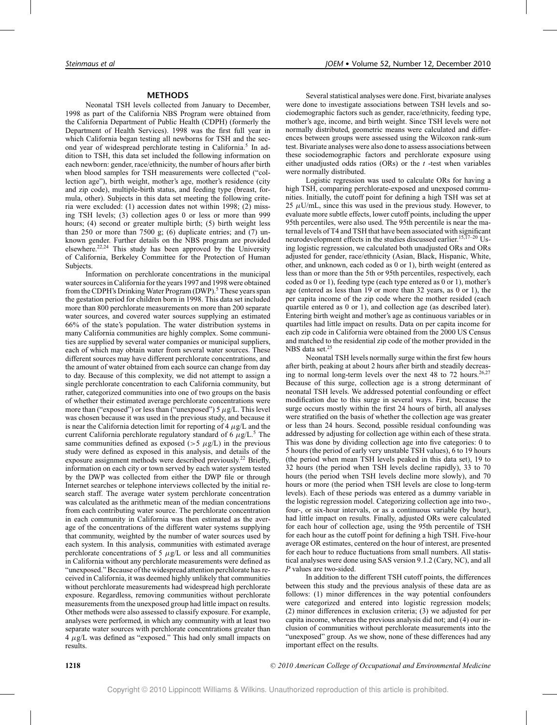## **METHODS**

Neonatal TSH levels collected from January to December, 1998 as part of the California NBS Program were obtained from the California Department of Public Health (CDPH) (formerly the Department of Health Services). 1998 was the first full year in which California began testing all newborns for TSH and the second year of widespread perchlorate testing in California.<sup>5</sup> In addition to TSH, this data set included the following information on each newborn: gender, race/ethnicity, the number of hours after birth when blood samples for TSH measurements were collected ("collection age"), birth weight, mother's age, mother's residence (city and zip code), multiple-birth status, and feeding type (breast, formula, other). Subjects in this data set meeting the following criteria were excluded: (1) accession dates not within 1998; (2) missing TSH levels; (3) collection ages 0 or less or more than 999 hours; (4) second or greater multiple birth; (5) birth weight less than 250 or more than 7500 g; (6) duplicate entries; and (7) unknown gender. Further details on the NBS program are provided elsewhere.<sup>22,24</sup> This study has been approved by the University of California, Berkeley Committee for the Protection of Human Subjects.

Information on perchlorate concentrations in the municipal water sources in California for the years 1997 and 1998 were obtained from the CDPH's Drinking Water Program (DWP).<sup>5</sup> These years span the gestation period for children born in 1998. This data set included more than 800 perchlorate measurements on more than 200 separate water sources, and covered water sources supplying an estimated 66% of the state's population. The water distribution systems in many California communities are highly complex. Some communities are supplied by several water companies or municipal suppliers, each of which may obtain water from several water sources. These different sources may have different perchlorate concentrations, and the amount of water obtained from each source can change from day to day. Because of this complexity, we did not attempt to assign a single perchlorate concentration to each California community, but rather, categorized communities into one of two groups on the basis of whether their estimated average perchlorate concentrations were more than ("exposed") or less than ("unexposed")  $5 \mu g/L$ . This level was chosen because it was used in the previous study, and because it is near the California detection limit for reporting of 4  $\mu$ g/L and the current California perchlorate regulatory standard of 6  $\mu$ g/L.<sup>5</sup> The same communities defined as exposed ( $>$ 5  $\mu$ g/L) in the previous study were defined as exposed in this analysis, and details of the exposure assignment methods were described previously.<sup>22</sup> Briefly, information on each city or town served by each water system tested by the DWP was collected from either the DWP file or through Internet searches or telephone interviews collected by the initial research staff. The average water system perchlorate concentration was calculated as the arithmetic mean of the median concentrations from each contributing water source. The perchlorate concentration in each community in California was then estimated as the average of the concentrations of the different water systems supplying that community, weighted by the number of water sources used by each system. In this analysis, communities with estimated average perchlorate concentrations of 5  $\mu$ g/L or less and all communities in California without any perchlorate measurements were defined as "unexposed." Because of the widespread attention perchlorate has received in California, it was deemed highly unlikely that communities without perchlorate measurements had widespread high perchlorate exposure. Regardless, removing communities without perchlorate measurements from the unexposed group had little impact on results. Other methods were also assessed to classify exposure. For example, analyses were performed, in which any community with at least two separate water sources with perchlorate concentrations greater than  $4 \mu g/L$  was defined as "exposed." This had only small impacts on results.

Several statistical analyses were done. First, bivariate analyses were done to investigate associations between TSH levels and sociodemographic factors such as gender, race/ethnicity, feeding type, mother's age, income, and birth weight. Since TSH levels were not normally distributed, geometric means were calculated and differences between groups were assessed using the Wilcoxon rank-sum test. Bivariate analyses were also done to assess associations between these sociodemographic factors and perchlorate exposure using either unadjusted odds ratios (ORs) or the *t* -test when variables were normally distributed.

Logistic regression was used to calculate ORs for having a high TSH, comparing perchlorate-exposed and unexposed communities. Initially, the cutoff point for defining a high TSH was set at 25  $\mu$ U/mL, since this was used in the previous study. However, to evaluate more subtle effects, lower cutoff points, including the upper 95th percentiles, were also used. The 95th percentile is near the maternal levels of T4 and TSH that have been associated with significant neurodevelopment effects in the studies discussed earlier.<sup>15,17-20</sup> Using logistic regression, we calculated both unadjusted ORs and ORs adjusted for gender, race/ethnicity (Asian, Black, Hispanic, White, other, and unknown, each coded as 0 or 1), birth weight (entered as less than or more than the 5th or 95th percentiles, respectively, each coded as 0 or 1), feeding type (each type entered as 0 or 1), mother's age (entered as less than 19 or more than 32 years, as 0 or 1), the per capita income of the zip code where the mother resided (each quartile entered as 0 or 1), and collection age (as described later). Entering birth weight and mother's age as continuous variables or in quartiles had little impact on results. Data on per capita income for each zip code in California were obtained from the 2000 US Census and matched to the residential zip code of the mother provided in the NBS data set.<sup>25</sup>

Neonatal TSH levels normally surge within the first few hours after birth, peaking at about 2 hours after birth and steadily decreasing to normal long-term levels over the next 48 to 72 hours.<sup>26,27</sup> Because of this surge, collection age is a strong determinant of neonatal TSH levels. We addressed potential confounding or effect modification due to this surge in several ways. First, because the surge occurs mostly within the first 24 hours of birth, all analyses were stratified on the basis of whether the collection age was greater or less than 24 hours. Second, possible residual confounding was addressed by adjusting for collection age within each of these strata. This was done by dividing collection age into five categories: 0 to 5 hours (the period of early very unstable TSH values), 6 to 19 hours (the period when mean TSH levels peaked in this data set), 19 to 32 hours (the period when TSH levels decline rapidly), 33 to 70 hours (the period when TSH levels decline more slowly), and 70 hours or more (the period when TSH levels are close to long-term levels). Each of these periods was entered as a dummy variable in the logistic regression model. Categorizing collection age into two-, four-, or six-hour intervals, or as a continuous variable (by hour), had little impact on results. Finally, adjusted ORs were calculated for each hour of collection age, using the 95th percentile of TSH for each hour as the cutoff point for defining a high TSH. Five-hour average OR estimates, centered on the hour of interest, are presented for each hour to reduce fluctuations from small numbers. All statistical analyses were done using SAS version 9.1.2 (Cary, NC), and all *P* values are two-sided.

In addition to the different TSH cutoff points, the differences between this study and the previous analysis of these data are as follows: (1) minor differences in the way potential confounders were categorized and entered into logistic regression models; (2) minor differences in exclusion criteria; (3) we adjusted for per capita income, whereas the previous analysis did not; and (4) our inclusion of communities without perchlorate measurements into the "unexposed" group. As we show, none of these differences had any important effect on the results.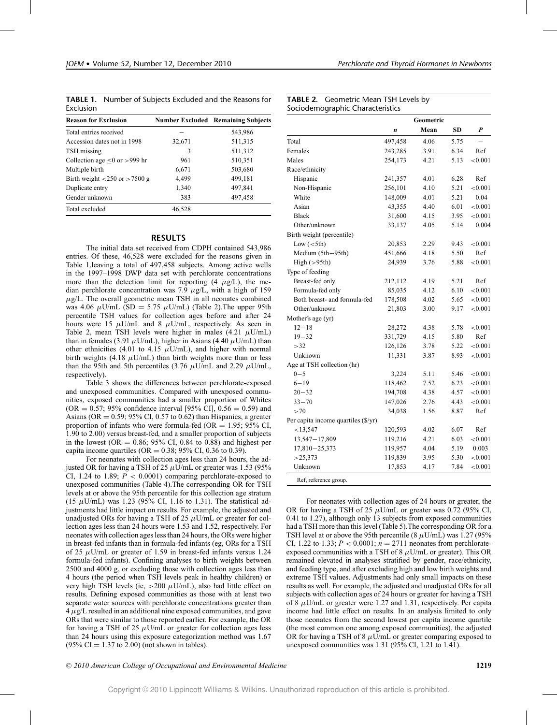|                  | TABLE 1. Number of Subjects Excluded and the Reasons for |
|------------------|----------------------------------------------------------|
| <b>Exclusion</b> |                                                          |

| <b>Reason for Exclusion</b>        |        | <b>Number Excluded Remaining Subjects</b> |  |
|------------------------------------|--------|-------------------------------------------|--|
| Total entries received             |        | 543,986                                   |  |
| Accession dates not in 1998        | 32,671 | 511,315                                   |  |
| TSH missing                        | 3      | 511,312                                   |  |
| Collection age $\leq 0$ or >999 hr | 961    | 510,351                                   |  |
| Multiple birth                     | 6,671  | 503,680                                   |  |
| Birth weight $<$ 250 or $>$ 7500 g | 4,499  | 499,181                                   |  |
| Duplicate entry                    | 1,340  | 497,841                                   |  |
| Gender unknown                     | 383    | 497,458                                   |  |
| Total excluded                     | 46,528 |                                           |  |

### **RESULTS**

The initial data set received from CDPH contained 543,986 entries. Of these, 46,528 were excluded for the reasons given in Table 1,leaving a total of 497,458 subjects. Among active wells in the 1997–1998 DWP data set with perchlorate concentrations more than the detection limit for reporting  $(4 \mu g/L)$ , the median perchlorate concentration was 7.9  $\mu$ g/L, with a high of 159  $\mu$ g/L. The overall geometric mean TSH in all neonates combined was 4.06  $\mu$ U/mL (SD = 5.75  $\mu$ U/mL) (Table 2). The upper 95th percentile TSH values for collection ages before and after 24 hours were 15  $\mu$ U/mL and 8  $\mu$ U/mL, respectively. As seen in Table 2, mean TSH levels were higher in males  $(4.21 \mu U/mL)$ than in females (3.91  $\mu$ U/mL), higher in Asians (4.40  $\mu$ U/mL) than other ethnicities (4.01 to 4.15  $\mu$ U/mL), and higher with normal birth weights (4.18  $\mu$ U/mL) than birth weights more than or less than the 95th and 5th percentiles (3.76  $\mu$ U/mL and 2.29  $\mu$ U/mL, respectively).

Table 3 shows the differences between perchlorate-exposed and unexposed communities. Compared with unexposed communities, exposed communities had a smaller proportion of Whites  $(OR = 0.57; 95\%$  confidence interval [95% CI],  $0.56 = 0.59$ ) and Asians (OR  $= 0.59$ ; 95% CI, 0.57 to 0.62) than Hispanics, a greater proportion of infants who were formula-fed (OR  $= 1.95$ ; 95% CI, 1.90 to 2.00) versus breast-fed, and a smaller proportion of subjects in the lowest (OR =  $0.86$ ; 95% CI, 0.84 to 0.88) and highest per capita income quartiles (OR =  $0.38$ ; 95% CI, 0.36 to 0.39).

For neonates with collection ages less than 24 hours, the adjusted OR for having a TSH of 25  $\mu$ U/mL or greater was 1.53 (95%) CI, 1.24 to 1.89;  $P < 0.0001$ ) comparing perchlorate-exposed to unexposed communities (Table 4).The corresponding OR for TSH levels at or above the 95th percentile for this collection age stratum (15  $\mu$ U/mL) was 1.23 (95% CI, 1.16 to 1.31). The statistical adjustments had little impact on results. For example, the adjusted and unadjusted ORs for having a TSH of 25  $\mu$ U/mL or greater for collection ages less than 24 hours were 1.53 and 1.52, respectively. For neonates with collection ages less than 24 hours, the ORs were higher in breast-fed infants than in formula-fed infants (eg, ORs for a TSH of 25  $\mu$ U/mL or greater of 1.59 in breast-fed infants versus 1.24 formula-fed infants). Confining analyses to birth weights between 2500 and 4000 g, or excluding those with collection ages less than 4 hours (the period when TSH levels peak in healthy children) or very high TSH levels (ie,  $>200 \mu U/mL$ ), also had little effect on results. Defining exposed communities as those with at least two separate water sources with perchlorate concentrations greater than  $4 \mu g/L$  resulted in an additional nine exposed communities, and gave ORs that were similar to those reported earlier. For example, the OR for having a TSH of 25  $\mu$ U/mL or greater for collection ages less than 24 hours using this exposure categorization method was 1.67  $(95\% \text{ CI} = 1.37 \text{ to } 2.00)$  (not shown in tables).

| Sociodemographic Characteristics    |                  |      |           |                  |  |
|-------------------------------------|------------------|------|-----------|------------------|--|
|                                     | Geometric        |      |           |                  |  |
|                                     | $\boldsymbol{n}$ | Mean | <b>SD</b> | $\boldsymbol{P}$ |  |
| Total                               | 497,458          | 4.06 | 5.75      |                  |  |
| Females                             | 243,285          | 3.91 | 6.34      | Ref              |  |
| Males                               | 254,173          | 4.21 | 5.13      | < 0.001          |  |
| Race/ethnicity                      |                  |      |           |                  |  |
| Hispanic                            | 241,357          | 4.01 | 6.28      | Ref              |  |
| Non-Hispanic                        | 256,101          | 4.10 | 5.21      | < 0.001          |  |
| White                               | 148,009          | 4.01 | 5.21      | 0.04             |  |
| Asian                               | 43,355           | 4.40 | 6.01      | < 0.001          |  |
| <b>Black</b>                        | 31,600           | 4.15 | 3.95      | < 0.001          |  |
| Other/unknown                       | 33,137           | 4.05 | 5.14      | 0.004            |  |
| Birth weight (percentile)           |                  |      |           |                  |  |
| Low $(<5th)$                        | 20,853           | 2.29 | 9.43      | < 0.001          |  |
| Medium (5th-95th)                   | 451,666          | 4.18 | 5.50      | Ref              |  |
| High (>95th)                        | 24,939           | 3.76 | 5.88      | < 0.001          |  |
| Type of feeding                     |                  |      |           |                  |  |
| Breast-fed only                     | 212,112          | 4.19 | 5.21      | Ref              |  |
| Formula-fed only                    | 85,035           | 4.12 | 6.10      | < 0.001          |  |
| Both breast- and formula-fed        | 178,508          | 4.02 | 5.65      | < 0.001          |  |
| Other/unknown                       | 21,803           | 3.00 | 9.17      | < 0.001          |  |
| Mother's age (yr)                   |                  |      |           |                  |  |
| $12 - 18$                           | 28,272           | 4.38 | 5.78      | < 0.001          |  |
| $19 - 32$                           | 331,729          | 4.15 | 5.80      | Ref              |  |
| >32                                 | 126,126          | 3.78 | 5.22      | < 0.001          |  |
| Unknown                             | 11,331           | 3.87 | 8.93      | < 0.001          |  |
| Age at TSH collection (hr)          |                  |      |           |                  |  |
| $0 - 5$                             | 3,224            | 5.11 | 5.46      | < 0.001          |  |
| $6 - 19$                            | 118,462          | 7.52 | 6.23      | < 0.001          |  |
| $20 - 32$                           | 194,708          | 4.38 | 4.57      | < 0.001          |  |
| $33 - 70$                           | 147,026          | 2.76 | 4.43      | < 0.001          |  |
| >70                                 | 34,038           | 1.56 | 8.87      | Ref              |  |
| Per capita income quartiles (\$/yr) |                  |      |           |                  |  |
| $<$ 13,547                          | 120,593          | 4.02 | 6.07      | Ref              |  |

**TABLE 2.** Geometric Mean TSH Levels by

Ref, reference group.

 $>25,373$ 

For neonates with collection ages of 24 hours or greater, the OR for having a TSH of 25  $\mu$ U/mL or greater was 0.72 (95% CI, 0.41 to 1.27), although only 13 subjects from exposed communities had a TSH more than this level (Table 5).The corresponding OR for a TSH level at or above the 95th percentile  $(8 \mu U/mL)$  was 1.27 (95%) CI, 1.22 to 1.33;  $P < 0.0001$ ;  $n = 2711$  neonates from perchlorateexposed communities with a TSH of 8  $\mu$ U/mL or greater). This OR remained elevated in analyses stratified by gender, race/ethnicity, and feeding type, and after excluding high and low birth weights and extreme TSH values. Adjustments had only small impacts on these results as well. For example, the adjusted and unadjusted ORs for all subjects with collection ages of 24 hours or greater for having a TSH of 8  $\mu$ U/mL or greater were 1.27 and 1.31, respectively. Per capita income had little effect on results. In an analysis limited to only those neonates from the second lowest per capita income quartile (the most common one among exposed communities), the adjusted OR for having a TSH of 8  $\mu$ U/mL or greater comparing exposed to unexposed communities was 1.31 (95% CI, 1.21 to 1.41).

13,547−17,809 119,216 4.21 6.03 <0.001 17,810−25,373 119,957 4.04 5.19 0.003<br>
>25,373 119,839 3.95 5.30 <0.001

Unknown 17,853 4.17 7.84 <0.001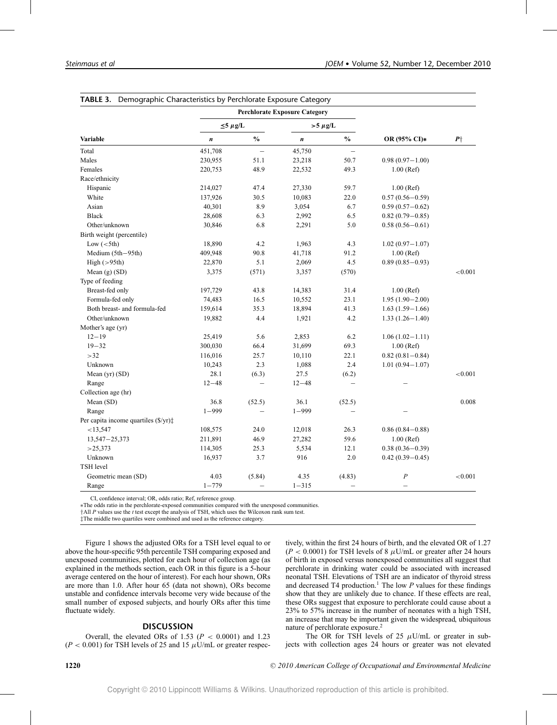|                                      |                             | <b>Perchlorate Exposure Category</b> |                 |                          |                     |             |
|--------------------------------------|-----------------------------|--------------------------------------|-----------------|--------------------------|---------------------|-------------|
|                                      | $\leq 5 \ \mu \mathrm{g/L}$ |                                      | $>$ 5 $\mu$ g/L |                          |                     |             |
| Variable                             | $\boldsymbol{n}$            | $\frac{0}{0}$                        | n               | $\frac{0}{0}$            | OR (95% CI)*        | $P\uparrow$ |
| Total                                | 451,708                     | $\overline{\phantom{0}}$             | 45,750          | $\qquad \qquad -$        |                     |             |
| Males                                | 230,955                     | 51.1                                 | 23,218          | 50.7                     | $0.98(0.97 - 1.00)$ |             |
| Females                              | 220,753                     | 48.9                                 | 22,532          | 49.3                     | $1.00$ (Ref)        |             |
| Race/ethnicity                       |                             |                                      |                 |                          |                     |             |
| Hispanic                             | 214,027                     | 47.4                                 | 27,330          | 59.7                     | $1.00$ (Ref)        |             |
| White                                | 137,926                     | 30.5                                 | 10,083          | 22.0                     | $0.57(0.56 - 0.59)$ |             |
| Asian                                | 40,301                      | 8.9                                  | 3,054           | 6.7                      | $0.59(0.57-0.62)$   |             |
| <b>Black</b>                         | 28,608                      | 6.3                                  | 2,992           | 6.5                      | $0.82(0.79 - 0.85)$ |             |
| Other/unknown                        | 30,846                      | 6.8                                  | 2,291           | 5.0                      | $0.58(0.56 - 0.61)$ |             |
| Birth weight (percentile)            |                             |                                      |                 |                          |                     |             |
| Low $(<5th)$                         | 18,890                      | 4.2                                  | 1,963           | 4.3                      | $1.02(0.97 - 1.07)$ |             |
| Medium (5th-95th)                    | 409,948                     | 90.8                                 | 41,718          | 91.2                     | $1.00$ (Ref)        |             |
| High (>95th)                         | 22,870                      | 5.1                                  | 2,069           | 4.5                      | $0.89(0.85 - 0.93)$ |             |
| Mean $(g)$ (SD)                      | 3,375                       | (571)                                | 3,357           | (570)                    |                     | < 0.001     |
| Type of feeding                      |                             |                                      |                 |                          |                     |             |
| Breast-fed only                      | 197,729                     | 43.8                                 | 14,383          | 31.4                     | $1.00$ (Ref)        |             |
| Formula-fed only                     | 74,483                      | 16.5                                 | 10,552          | 23.1                     | $1.95(1.90 - 2.00)$ |             |
| Both breast- and formula-fed         | 159,614                     | 35.3                                 | 18,894          | 41.3                     | $1.63(1.59-1.66)$   |             |
| Other/unknown                        | 19,882                      | 4.4                                  | 1,921           | 4.2                      | $1.33(1.26 - 1.40)$ |             |
| Mother's age (yr)                    |                             |                                      |                 |                          |                     |             |
| $12 - 19$                            | 25,419                      | 5.6                                  | 2,853           | 6.2                      | $1.06(1.02 - 1.11)$ |             |
| $19 - 32$                            | 300,030                     | 66.4                                 | 31,699          | 69.3                     | $1.00$ (Ref)        |             |
| >32                                  | 116,016                     | 25.7                                 | 10,110          | 22.1                     | $0.82(0.81 - 0.84)$ |             |
| Unknown                              | 10,243                      | 2.3                                  | 1,088           | 2.4                      | $1.01(0.94 - 1.07)$ |             |
| Mean (yr) $(SD)$                     | 28.1                        | (6.3)                                | 27.5            | (6.2)                    |                     | < 0.001     |
| Range                                | $12 - 48$                   | $\overline{\phantom{0}}$             | $12 - 48$       |                          |                     |             |
| Collection age (hr)                  |                             |                                      |                 |                          |                     |             |
| Mean (SD)                            | 36.8                        | (52.5)                               | 36.1            | (52.5)                   |                     | 0.008       |
| Range                                | $1 - 999$                   |                                      | $1 - 999$       |                          |                     |             |
| Per capita income quartiles (\$/yr): |                             |                                      |                 |                          |                     |             |
| < 13,547                             | 108,575                     | 24.0                                 | 12,018          | 26.3                     | $0.86(0.84 - 0.88)$ |             |
| $13,547 - 25,373$                    | 211,891                     | 46.9                                 | 27,282          | 59.6                     | $1.00$ (Ref)        |             |
| >25,373                              | 114,305                     | 25.3                                 | 5,534           | 12.1                     | $0.38(0.36 - 0.39)$ |             |
| Unknown                              | 16,937                      | 3.7                                  | 916             | 2.0                      | $0.42(0.39 - 0.45)$ |             |
| TSH level                            |                             |                                      |                 |                          |                     |             |
| Geometric mean (SD)                  | 4.03                        | (5.84)                               | 4.35            | (4.83)                   | $\cal P$            | < 0.001     |
| Range                                | $1 - 779$                   |                                      | $1 - 315$       | $\overline{\phantom{0}}$ |                     |             |

| <b>TABLE 3.</b> Demographic Characteristics by Perchlorate Exposure Category |  |  |
|------------------------------------------------------------------------------|--|--|
| <b>Perchlorate Exposure Category</b>                                         |  |  |

CI, confidence interval; OR, odds ratio; Ref, reference group.

∗The odds ratio in the perchlorate-exposed communities compared with the unexposed communities.

†All *P* values use the *t* test except the analysis of TSH, which uses the Wilcoxon rank sum test.

‡The middle two quartiles were combined and used as the reference category.

Figure 1 shows the adjusted ORs for a TSH level equal to or above the hour-specific 95th percentile TSH comparing exposed and unexposed communities, plotted for each hour of collection age (as explained in the methods section, each OR in this figure is a 5-hour average centered on the hour of interest). For each hour shown, ORs are more than 1.0. After hour 65 (data not shown), ORs become unstable and confidence intervals become very wide because of the small number of exposed subjects, and hourly ORs after this time fluctuate widely.

## **DISCUSSION**

Overall, the elevated ORs of 1.53 ( $P < 0.0001$ ) and 1.23  $(P < 0.001)$  for TSH levels of 25 and 15  $\mu$ U/mL or greater respectively, within the first 24 hours of birth, and the elevated OR of 1.27  $(P < 0.0001)$  for TSH levels of 8  $\mu$ U/mL or greater after 24 hours of birth in exposed versus nonexposed communities all suggest that perchlorate in drinking water could be associated with increased neonatal TSH. Elevations of TSH are an indicator of thyroid stress and decreased  $T4$  production.<sup>1</sup> The low  $P$  values for these findings show that they are unlikely due to chance. If these effects are real, these ORs suggest that exposure to perchlorate could cause about a 23% to 57% increase in the number of neonates with a high TSH, an increase that may be important given the widespread, ubiquitous nature of perchlorate exposure.<sup>2</sup>

The OR for TSH levels of 25  $\mu$ U/mL or greater in subjects with collection ages 24 hours or greater was not elevated

<sup>C</sup> *2010 American College of Occupational and Environmental Medicine*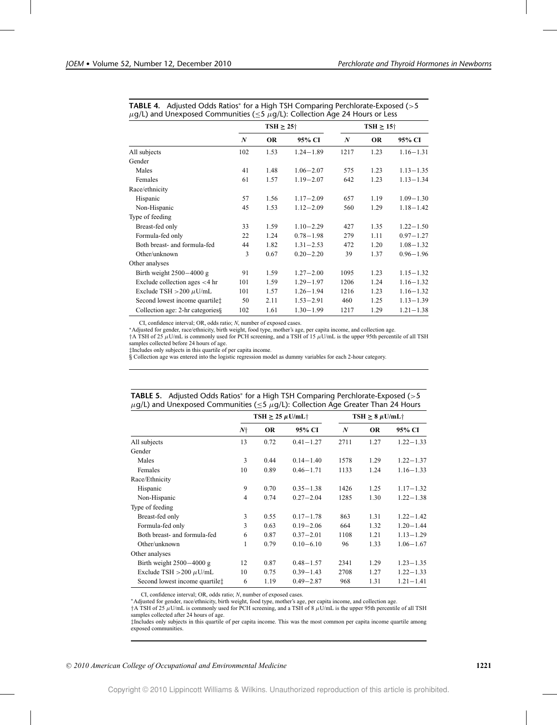|                                  |     | .<br>$TSH \geq 25$ <sup>†</sup> |               |                  | $TSH \geq 15$ <sup>+</sup> |               |
|----------------------------------|-----|---------------------------------|---------------|------------------|----------------------------|---------------|
|                                  | N   | OR                              | 95% CI        | $\boldsymbol{N}$ | <b>OR</b>                  | 95% CI        |
| All subjects                     | 102 | 1.53                            | $1.24 - 1.89$ | 1217             | 1.23                       | $1.16 - 1.31$ |
| Gender                           |     |                                 |               |                  |                            |               |
| Males                            | 41  | 1.48                            | $1.06 - 2.07$ | 575              | 1.23                       | $1.13 - 1.35$ |
| Females                          | 61  | 1.57                            | $1.19 - 2.07$ | 642              | 1.23                       | $1.13 - 1.34$ |
| Race/ethnicity                   |     |                                 |               |                  |                            |               |
| Hispanic                         | 57  | 1.56                            | $1.17 - 2.09$ | 657              | 1.19                       | $1.09 - 1.30$ |
| Non-Hispanic                     | 45  | 1.53                            | $1.12 - 2.09$ | 560              | 1.29                       | $1.18 - 1.42$ |
| Type of feeding                  |     |                                 |               |                  |                            |               |
| Breast-fed only                  | 33  | 1.59                            | $1.10 - 2.29$ | 427              | 1.35                       | $1.22 - 1.50$ |
| Formula-fed only                 | 22  | 1.24                            | $0.78 - 1.98$ | 279              | 1.11                       | $0.97 - 1.27$ |
| Both breast- and formula-fed     | 44  | 1.82                            | $1.31 - 2.53$ | 472              | 1.20                       | $1.08 - 1.32$ |
| Other/unknown                    | 3   | 0.67                            | $0.20 - 2.20$ | 39               | 1.37                       | $0.96 - 1.96$ |
| Other analyses                   |     |                                 |               |                  |                            |               |
| Birth weight $2500 - 4000$ g     | 91  | 1.59                            | $1.27 - 2.00$ | 1095             | 1.23                       | $1.15 - 1.32$ |
| Exclude collection ages $<$ 4 hr | 101 | 1.59                            | $1.29 - 1.97$ | 1206             | 1.24                       | $1.16 - 1.32$ |
| Exclude TSH $>$ 200 $\mu$ U/mL   | 101 | 1.57                            | $1.26 - 1.94$ | 1216             | 1.23                       | $1.16 - 1.32$ |
| Second lowest income quartile:   | 50  | 2.11                            | $1.53 - 2.91$ | 460              | 1.25                       | $1.13 - 1.39$ |
| Collection age: 2-hr categories§ | 102 | 1.61                            | $1.30 - 1.99$ | 1217             | 1.29                       | $1.21 - 1.38$ |

| TABLE 4. Adjusted Odds Ratios* for a High TSH Comparing Perchlorate-Exposed (>5             |
|---------------------------------------------------------------------------------------------|
| $\mu$ g/L) and Unexposed Communities ( $\leq$ 5 $\mu$ g/L): Collection Age 24 Hours or Less |

CI, confidence interval; OR, odds ratio; *N*, number of exposed cases.

\*Adjusted for gender, race/ethnicity, birth weight, food type, mother's age, per capita income, and collection age.<br>†A TSH of 25  $\mu$ U/mL is commonly used for PCH screening, and a TSH of 15  $\mu$ U/mL is the upper 95th perc samples collected before 24 hours of age.

‡Includes only subjects in this quartile of per capita income.

*§* Collection age was entered into the logistic regression model as dummy variables for each 2-hour category.

|                                | TSH $\geq$ 25 $\mu$ U/mL <sup>+</sup> |           |               | $TSH \geq 8 \,\mu\text{U/mL}$ † |           |               |
|--------------------------------|---------------------------------------|-----------|---------------|---------------------------------|-----------|---------------|
|                                | N†                                    | <b>OR</b> | 95% CI        | $\boldsymbol{N}$                | <b>OR</b> | 95% CI        |
| All subjects                   | 13                                    | 0.72      | $0.41 - 1.27$ | 2711                            | 1.27      | $1.22 - 1.33$ |
| Gender                         |                                       |           |               |                                 |           |               |
| Males                          | 3                                     | 0.44      | $0.14 - 1.40$ | 1578                            | 1.29      | $1.22 - 1.37$ |
| Females                        | 10                                    | 0.89      | $0.46 - 1.71$ | 1133                            | 1.24      | $1.16 - 1.33$ |
| Race/Ethnicity                 |                                       |           |               |                                 |           |               |
| Hispanic                       | 9                                     | 0.70      | $0.35 - 1.38$ | 1426                            | 1.25      | $1.17 - 1.32$ |
| Non-Hispanic                   | $\overline{4}$                        | 0.74      | $0.27 - 2.04$ | 1285                            | 1.30      | $1.22 - 1.38$ |
| Type of feeding                |                                       |           |               |                                 |           |               |
| Breast-fed only                | 3                                     | 0.55      | $0.17 - 1.78$ | 863                             | 1.31      | $1.22 - 1.42$ |
| Formula-fed only               | 3                                     | 0.63      | $0.19 - 2.06$ | 664                             | 1.32      | $1.20 - 1.44$ |
| Both breast- and formula-fed   | 6                                     | 0.87      | $0.37 - 2.01$ | 1108                            | 1.21      | $1.13 - 1.29$ |
| Other/unknown                  | 1                                     | 0.79      | $0.10 - 6.10$ | 96                              | 1.33      | $1.06 - 1.67$ |
| Other analyses                 |                                       |           |               |                                 |           |               |
| Birth weight $2500 - 4000$ g   | 12                                    | 0.87      | $0.48 - 1.57$ | 2341                            | 1.29      | $1.23 - 1.35$ |
| Exclude TSH $>200 \mu U/mL$    | 10                                    | 0.75      | $0.39 - 1.43$ | 2708                            | 1.27      | $1.22 - 1.33$ |
| Second lowest income quartilet | 6                                     | 1.19      | $0.49 - 2.87$ | 968                             | 1.31      | $1.21 - 1.41$ |

| TABLE 5. Adjusted Odds Ratios* for a High TSH Comparing Perchlorate-Exposed (>5                  |
|--------------------------------------------------------------------------------------------------|
| $\mu$ g/L) and Unexposed Communities ( $\leq$ 5 $\mu$ g/L): Collection Age Greater Than 24 Hours |

CI, confidence interval; OR, odds ratio; *N*, number of exposed cases.

\*Adjusted for gender, race/ethnicity, birth weight, food type, mother's age, per capita income, and collection age.<br>†A TSH of 25  $\mu$ U/mL is commonly used for PCH screening, and a TSH of 8  $\mu$ U/mL is the upper 95th perce samples collected after 24 hours of age.

‡Includes only subjects in this quartile of per capita income. This was the most common per capita income quartile among exposed communities.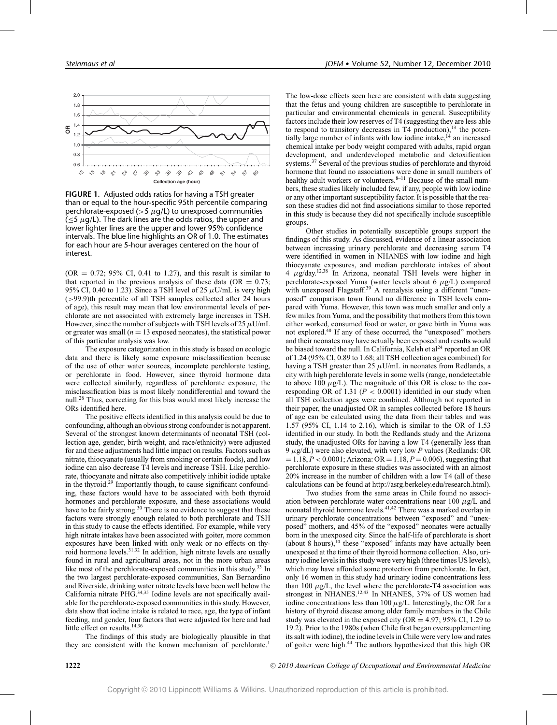

**FIGURE 1.** Adjusted odds ratios for having a TSH greater than or equal to the hour-specific 95th percentile comparing perchlorate-exposed ( $>5 \mu$ g/L) to unexposed communities  $(\leq 5 \mu q/L)$ . The dark lines are the odds ratios, the upper and lower lighter lines are the upper and lower 95% confidence intervals. The blue line highlights an OR of 1.0. The estimates for each hour are 5-hour averages centered on the hour of interest.

 $(OR = 0.72; 95\% \text{ CI}, 0.41 \text{ to } 1.27)$ , and this result is similar to that reported in the previous analysis of these data ( $OR = 0.73$ ; 95% CI, 0.40 to 1.23). Since a TSH level of 25  $\mu$ U/mL is very high (>99.9)th percentile of all TSH samples collected after 24 hours of age), this result may mean that low environmental levels of perchlorate are not associated with extremely large increases in TSH. However, since the number of subjects with TSH levels of 25  $\mu$ U/mL or greater was small  $(n = 13$  exposed neonates), the statistical power of this particular analysis was low.

The exposure categorization in this study is based on ecologic data and there is likely some exposure misclassification because of the use of other water sources, incomplete perchlorate testing, or perchlorate in food. However, since thyroid hormone data were collected similarly, regardless of perchlorate exposure, the misclassification bias is most likely nondifferential and toward the null.28 Thus, correcting for this bias would most likely increase the ORs identified here.

The positive effects identified in this analysis could be due to confounding, although an obvious strong confounder is not apparent. Several of the strongest known determinants of neonatal TSH (collection age, gender, birth weight, and race/ethnicity) were adjusted for and these adjustments had little impact on results. Factors such as nitrate, thiocyanate (usually from smoking or certain foods), and low iodine can also decrease T4 levels and increase TSH. Like perchlorate, thiocyanate and nitrate also competitively inhibit iodide uptake in the thyroid.29 Importantly though, to cause significant confounding, these factors would have to be associated with both thyroid hormones and perchlorate exposure, and these associations would have to be fairly strong.<sup>30</sup> There is no evidence to suggest that these factors were strongly enough related to both perchlorate and TSH in this study to cause the effects identified. For example, while very high nitrate intakes have been associated with goiter, more common exposures have been linked with only weak or no effects on thyroid hormone levels.31,32 In addition, high nitrate levels are usually found in rural and agricultural areas, not in the more urban areas like most of the perchlorate-exposed communities in this study.<sup>33</sup> In the two largest perchlorate-exposed communities, San Bernardino and Riverside, drinking water nitrate levels have been well below the California nitrate PHG.34,35 Iodine levels are not specifically available for the perchlorate-exposed communities in this study. However, data show that iodine intake is related to race, age, the type of infant feeding, and gender, four factors that were adjusted for here and had little effect on results.<sup>14,36</sup>

The findings of this study are biologically plausible in that they are consistent with the known mechanism of perchlorate.<sup>1</sup>

The low-dose effects seen here are consistent with data suggesting that the fetus and young children are susceptible to perchlorate in particular and environmental chemicals in general. Susceptibility factors include their low reserves of T4 (suggesting they are less able to respond to transitory decreases in  $T4$  production),<sup>13</sup> the potentially large number of infants with low iodine intake, $^{14}$  an increased chemical intake per body weight compared with adults, rapid organ development, and underdeveloped metabolic and detoxification systems.<sup>37</sup> Several of the previous studies of perchlorate and thyroid hormone that found no associations were done in small numbers of healthy adult workers or volunteers. $8-11$  Because of the small numbers, these studies likely included few, if any, people with low iodine or any other important susceptibility factor. It is possible that the reason these studies did not find associations similar to those reported in this study is because they did not specifically include susceptible groups.

Other studies in potentially susceptible groups support the findings of this study. As discussed, evidence of a linear association between increasing urinary perchlorate and decreasing serum T4 were identified in women in NHANES with low iodine and high thiocyanate exposures, and median perchlorate intakes of about 4 μg/day.12,38 In Arizona, neonatal TSH levels were higher in perchlorate-exposed Yuma (water levels about 6  $\mu$ g/L) compared with unexposed Flagstaff.<sup>39</sup> A reanalysis using a different "unexposed" comparison town found no difference in TSH levels compared with Yuma. However, this town was much smaller and only a few miles from Yuma, and the possibility that mothers from this town either worked, consumed food or water, or gave birth in Yuma was not explored.40 If any of these occurred, the "unexposed" mothers and their neonates may have actually been exposed and results would be biased toward the null. In California, Kelsh et al<sup>24</sup> reported an OR of 1.24 (95% CI, 0.89 to 1.68; all TSH collection ages combined) for having a TSH greater than 25  $\mu$ U/mL in neonates from Redlands, a city with high perchlorate levels in some wells (range, nondetectable to above 100  $\mu$ g/L). The magnitude of this OR is close to the corresponding OR of 1.31 ( $P < 0.0001$ ) identified in our study when all TSH collection ages were combined. Although not reported in their paper, the unadjusted OR in samples collected before 18 hours of age can be calculated using the data from their tables and was 1.57 (95% CI, 1.14 to 2.16), which is similar to the OR of 1.53 identified in our study. In both the Redlands study and the Arizona study, the unadjusted ORs for having a low T4 (generally less than 9 μg/dL) were also elevated, with very low *P* values (Redlands: OR  $= 1.18, P < 0.0001$ ; Arizona: OR  $= 1.18, P = 0.006$ ), suggesting that perchlorate exposure in these studies was associated with an almost 20% increase in the number of children with a low T4 (all of these calculations can be found at http://asrg.berkeley.edu/research.html).

Two studies from the same areas in Chile found no association between perchlorate water concentrations near 100  $\mu$ g/L and neonatal thyroid hormone levels.41,42 There was a marked overlap in urinary perchlorate concentrations between "exposed" and "unexposed" mothers, and 45% of the "exposed" neonates were actually born in the unexposed city. Since the half-life of perchlorate is short (about 8 hours), $^{10}$  these "exposed" infants may have actually been unexposed at the time of their thyroid hormone collection. Also, urinary iodine levels in this study were very high (three times US levels), which may have afforded some protection from perchlorate. In fact, only 16 women in this study had urinary iodine concentrations less than 100  $\mu$ g/L, the level where the perchlorate-T4 association was strongest in NHANES.<sup>12,43</sup> In NHANES, 37% of US women had iodine concentrations less than 100  $\mu$ g/L. Interestingly, the OR for a history of thyroid disease among older family members in the Chile study was elevated in the exposed city (OR =  $4.97$ ;  $95\%$  CI, 1.29 to 19.2). Prior to the 1980s (when Chile first began oversupplementing its salt with iodine), the iodine levels in Chile were very low and rates of goiter were high.44 The authors hypothesized that this high OR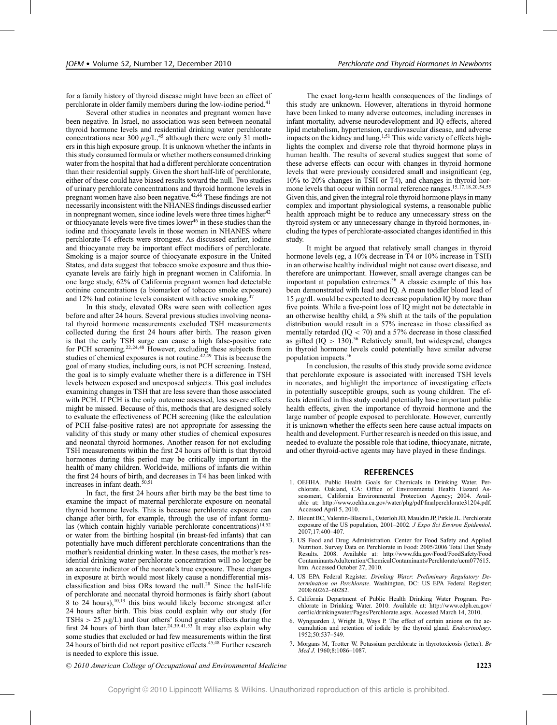for a family history of thyroid disease might have been an effect of perchlorate in older family members during the low-iodine period.<sup>41</sup>

Several other studies in neonates and pregnant women have been negative. In Israel, no association was seen between neonatal thyroid hormone levels and residential drinking water perchlorate concentrations near 300  $\mu$ g/L,<sup>45</sup> although there were only 31 mothers in this high exposure group. It is unknown whether the infants in this study consumed formula or whether mothers consumed drinking water from the hospital that had a different perchlorate concentration than their residential supply. Given the short half-life of perchlorate, either of these could have biased results toward the null. Two studies of urinary perchlorate concentrations and thyroid hormone levels in pregnant women have also been negative.42,46 These findings are not necessarily inconsistent with the NHANES findings discussed earlier in nonpregnant women, since iodine levels were three times higher $42$ or thiocyanate levels were five times lower<sup>46</sup> in these studies than the iodine and thiocyanate levels in those women in NHANES where perchlorate-T4 effects were strongest. As discussed earlier, iodine and thiocyanate may be important effect modifiers of perchlorate. Smoking is a major source of thiocyanate exposure in the United States, and data suggest that tobacco smoke exposure and thus thiocyanate levels are fairly high in pregnant women in California. In one large study, 62% of California pregnant women had detectable cotinine concentrations (a biomarker of tobacco smoke exposure) and 12% had cotinine levels consistent with active smoking.<sup>4</sup>

In this study, elevated ORs were seen with collection ages before and after 24 hours. Several previous studies involving neonatal thyroid hormone measurements excluded TSH measurements collected during the first 24 hours after birth. The reason given is that the early TSH surge can cause a high false-positive rate for PCH screening.22,24,<sup>48</sup> However, excluding these subjects from studies of chemical exposures is not routine.<sup>42,49</sup> This is because the goal of many studies, including ours, is not PCH screening. Instead, the goal is to simply evaluate whether there is a difference in TSH levels between exposed and unexposed subjects. This goal includes examining changes in TSH that are less severe than those associated with PCH. If PCH is the only outcome assessed, less severe effects might be missed. Because of this, methods that are designed solely to evaluate the effectiveness of PCH screening (like the calculation of PCH false-positive rates) are not appropriate for assessing the validity of this study or many other studies of chemical exposures and neonatal thyroid hormones. Another reason for not excluding TSH measurements within the first 24 hours of birth is that thyroid hormones during this period may be critically important in the health of many children. Worldwide, millions of infants die within the first 24 hours of birth, and decreases in T4 has been linked with increases in infant death.<sup>50,51</sup>

In fact, the first 24 hours after birth may be the best time to examine the impact of maternal perchlorate exposure on neonatal thyroid hormone levels. This is because perchlorate exposure can change after birth, for example, through the use of infant formulas (which contain highly variable perchlorate concentrations) $14,52$ or water from the birthing hospital (in breast-fed infants) that can potentially have much different perchlorate concentrations than the mother's residential drinking water. In these cases, the mother's residential drinking water perchlorate concentration will no longer be an accurate indicator of the neonate's true exposure. These changes in exposure at birth would most likely cause a nondifferential misclassification and bias ORs toward the null.28 Since the half-life of perchlorate and neonatal thyroid hormones is fairly short (about  $8$  to 24 hours),<sup>10,13</sup> this bias would likely become strongest after 24 hours after birth. This bias could explain why our study (for  $TSHs > 25 \mu g/L$ ) and four others' found greater effects during the first 24 hours of birth than later.  $24,39,41,53$  It may also explain why some studies that excluded or had few measurements within the first 24 hours of birth did not report positive effects.45,48 Further research is needed to explore this issue.

The exact long-term health consequences of the findings of this study are unknown. However, alterations in thyroid hormone have been linked to many adverse outcomes, including increases in infant mortality, adverse neurodevelopment and IQ effects, altered lipid metabolism, hypertension, cardiovascular disease, and adverse impacts on the kidney and lung.<sup>1,51</sup> This wide variety of effects highlights the complex and diverse role that thyroid hormone plays in human health. The results of several studies suggest that some of these adverse effects can occur with changes in thyroid hormone levels that were previously considered small and insignificant (eg, 10% to 20% changes in TSH or T4), and changes in thyroid hormone levels that occur within normal reference ranges.<sup>15,17,18,20,54,55</sup> Given this, and given the integral role thyroid hormone plays in many complex and important physiological systems, a reasonable public health approach might be to reduce any unnecessary stress on the thyroid system or any unnecessary change in thyroid hormones, including the types of perchlorate-associated changes identified in this study.

It might be argued that relatively small changes in thyroid hormone levels (eg, a 10% decrease in T4 or 10% increase in TSH) in an otherwise healthy individual might not cause overt disease, and therefore are unimportant. However, small average changes can be important at population extremes.<sup>56</sup> A classic example of this has been demonstrated with lead and IQ. A mean toddler blood lead of 15  $\mu$ g/dL would be expected to decrease population IQ by more than five points. While a five-point loss of IQ might not be detectable in an otherwise healthy child, a 5% shift at the tails of the population distribution would result in a 57% increase in those classified as mentally retarded  $(IQ < 70)$  and a 57% decrease in those classified as gifted  $(IQ > 130)$ .<sup>56</sup> Relatively small, but widespread, changes in thyroid hormone levels could potentially have similar adverse population impacts.56

In conclusion, the results of this study provide some evidence that perchlorate exposure is associated with increased TSH levels in neonates, and highlight the importance of investigating effects in potentially susceptible groups, such as young children. The effects identified in this study could potentially have important public health effects, given the importance of thyroid hormone and the large number of people exposed to perchlorate. However, currently it is unknown whether the effects seen here cause actual impacts on health and development. Further research is needed on this issue, and needed to evaluate the possible role that iodine, thiocyanate, nitrate, and other thyroid-active agents may have played in these findings.

#### **REFERENCES**

- 1. OEHHA. Public Health Goals for Chemicals in Drinking Water. Per-chlorate. Oakland, CA: Office of Environmental Health Hazard Assessment, California Environmental Protection Agency; 2004. Available at: http://www.oehha.ca.gov/water/phg/pdf/finalperchlorate31204.pdf. Accessed April 5, 2010.
- 2. Blount BC, Valentin-Blasini L, Osterloh JD, Mauldin JP, Pirkle JL. Perchlorate exposure of the US population, 2001–2002. *J Expo Sci Environ Epidemiol*. 2007;17:400–407.
- 3. US Food and Drug Administration. Center for Food Safety and Applied Nutrition. Survey Data on Perchlorate in Food: 2005/2006 Total Diet Study Results. 2008. Available at: http://www.fda.gov/Food/FoodSafety/Food ContaminantsAdulteration/ChemicalContaminants/Perchlorate/ucm077615. htm. Accessed October 27, 2010.
- 4. US EPA Federal Register. *Drinking Water: Preliminary Regulatory Determination on Perchlorate*. Washington, DC: US EPA Federal Register; 2008:60262–60282.
- 5. California Department of Public Health Drinking Water Program. Perchlorate in Drinking Water. 2010. Available at: http://www.cdph.ca.gov/ certlic/drinkingwater/Pages/Perchlorate.aspx. Accessed March 14, 2010.
- Wyngaarden J, Wright B, Ways P. The effect of certain anions on the accumulation and retention of iodide by the thyroid gland. *Endocrinology*. 1952;50:537–549.
- 7. Morgans M, Trotter W. Potassium perchlorate in thyrotoxicosis (letter). *Br Med J*. 1960;8:1086–1087.

-<sup>C</sup> *2010 American College of Occupational and Environmental Medicine* **1223**